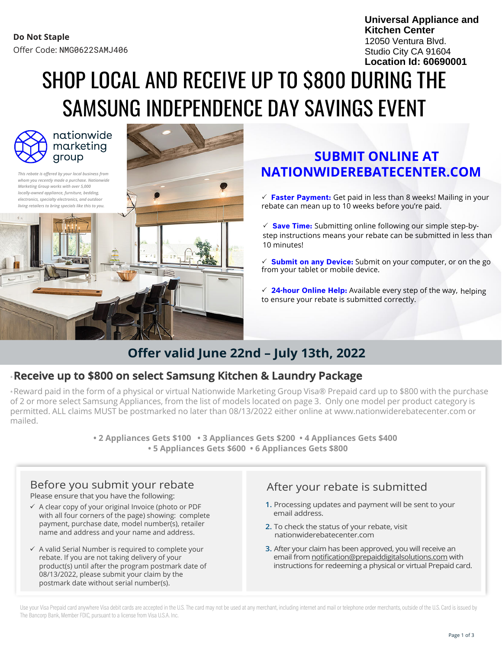**Universal Appliance and Kitchen Center** 12050 Ventura Blvd. Studio City CA 91604 **Location Id: 60690001**

# SHOP LOCAL AND RECEIVE UP TO \$800 DURING THE SAMSUNG INDEPENDENCE DAY SAVINGS EVENT



nationwide marketing group

*This rebate is offered by your local business from whom you recently made a purchase. Nationwide Marketing Group works with over 5,000 locally-owned appliance, furniture, bedding, electronics, specialty electronics, and outdoor living retailers to bring specials like this to you.*



### **SUBMIT ONLINE AT NATIONWIDEREBATECENTER.COM**

 **Faster Payment:** Get paid in less than 8 weeks! Mailing in your rebate can mean up to 10 weeks before you're paid.

 **Save Time:** Submitting online following our simple step-bystep instructions means your rebate can be submitted in less than 10 minutes!

 $\checkmark$  **Submit on any Device:** Submit on your computer, or on the go from your tablet or mobile device.

 **24-hour Online Help:** Available every step of the way, helping to ensure your rebate is submitted correctly.

## **Offer valid June 22nd – July 13th, 2022**

### \***Receive up to \$800 on select Samsung Kitchen & Laundry Package**

\*Reward paid in the form of a physical or virtual Nationwide Marketing Group Visa® Prepaid card up to \$800 with the purchase of 2 or more select Samsung Appliances, from the list of models located on page 3. Only one model per product category is permitted. ALL claims MUST be postmarked no later than 08/13/2022 either online at www.nationwiderebatecenter.com or mailed.

> **• 2 Appliances Gets \$100 • 3 Appliances Gets \$200 • 4 Appliances Gets \$400 • 5 Appliances Gets \$600 • 6 Appliances Gets \$800**

- ✓ A clear copy of your original Invoice (photo or PDF with all four corners of the page) showing: complete payment, purchase date, model number(s), retailer name and address and your name and address.
- $\checkmark$  A valid Serial Number is required to complete your rebate. If you are not taking delivery of your product(s) until after the program postmark date of 08/13/2022, please submit your claim by the postmark date without serial number(s).

# Before you submit your rebate After your rebate Please ensure that you have the following:

- **1.** Processing updates and payment will be sent to your email address.
- **2.** To check the status of your rebate, visit nationwiderebatecenter.com
- **3.** After your claim has been approved, you will receive an email from notification@prepaiddigitalsolutions.com with instructions for redeeming a physical or virtual Prepaid card.

Use your Visa Prepaid card anywhere Visa debit cards are accepted in the U.S. The card may not be used at any merchant, including internet and mail or telephone order merchants, outside of the U.S. Card is issued by The Bancorp Bank, Member FDIC, pursuant to a license from Visa U.S.A. Inc.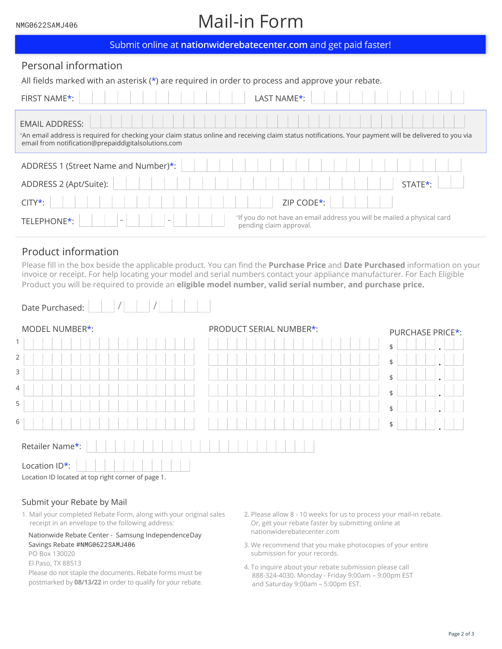#### NMG0622SAMJ406

# Mail-in Form

| Submit online at nationwiderebatecenter.com and get paid faster!                                                                                                                                                                        |  |  |  |  |  |  |  |
|-----------------------------------------------------------------------------------------------------------------------------------------------------------------------------------------------------------------------------------------|--|--|--|--|--|--|--|
| Personal information                                                                                                                                                                                                                    |  |  |  |  |  |  |  |
| All fields marked with an asterisk $(*)$ are required in order to process and approve your rebate.                                                                                                                                      |  |  |  |  |  |  |  |
| FIRST NAME*:<br>LAST NAME <sup>*</sup> :                                                                                                                                                                                                |  |  |  |  |  |  |  |
| <b>EMAIL ADDRESS:</b><br>*An email address is required for checking your claim status online and receiving claim status notifications. Your payment will be delivered to you via<br>email from notification@prepaiddigitalsolutions.com |  |  |  |  |  |  |  |
| ADDRESS 1 (Street Name and Number)*:                                                                                                                                                                                                    |  |  |  |  |  |  |  |
| ADDRESS 2 (Apt/Suite):<br>STATE*:                                                                                                                                                                                                       |  |  |  |  |  |  |  |
| ZIP CODE*:<br>$CITY^*$ :                                                                                                                                                                                                                |  |  |  |  |  |  |  |
| *If you do not have an email address you will be mailed a physical card<br>TELEPHONE*:<br>pending claim approval.                                                                                                                       |  |  |  |  |  |  |  |

### Product information

Please fill in the box beside the applicable product. You can find the **Purchase Price** and **Date Purchased** information on your invoice or receipt. For help locating your model and serial numbers contact your appliance manufacturer. For Each Eligible Product you will be required to provide an **eligible model number, valid serial number, and purchase price**.

| Date Purchased:                                    |                         |                  |  |  |  |  |  |
|----------------------------------------------------|-------------------------|------------------|--|--|--|--|--|
| MODEL NUMBER*:                                     | PRODUCT SERIAL NUMBER*: | PURCHASE PRICE*: |  |  |  |  |  |
| 1                                                  |                         | \$               |  |  |  |  |  |
| 2                                                  |                         | \$               |  |  |  |  |  |
| 3                                                  |                         | \$               |  |  |  |  |  |
| 4                                                  |                         | \$               |  |  |  |  |  |
| 5                                                  |                         | \$               |  |  |  |  |  |
| 6                                                  |                         | \$               |  |  |  |  |  |
| Retailer Name*:                                    |                         |                  |  |  |  |  |  |
| Location ID*:                                      |                         |                  |  |  |  |  |  |
| Location ID located at top right corner of page 1. |                         |                  |  |  |  |  |  |

### Submit your Rebate by Mail

1. Mail your completed Rebate Form, along with your original sales 2. Please allow 8 - 10 weeks for us to process your mail-in rebate. receipt in an envelope to the following address:

### Nationwide Rebate Center - Samsung Independence Day Savings Rebate #NMG0622SAMJ406

PO Box 130020

El Paso, TX 88513

Please do not staple the documents. Rebate forms must be postmarked by **08/13/22** in order to qualify for your rebate.

- Or, get your rebate faster by submitting online at nationwiderebatecenter.com
- 3. We recommend that you make photocopies of your entire submission for your records.
- 4. To inquire about your rebate submission please call 888-324-4030. Monday - Friday 9:00am – 9:00pm EST and Saturday 9:00am – 5:00pm EST.